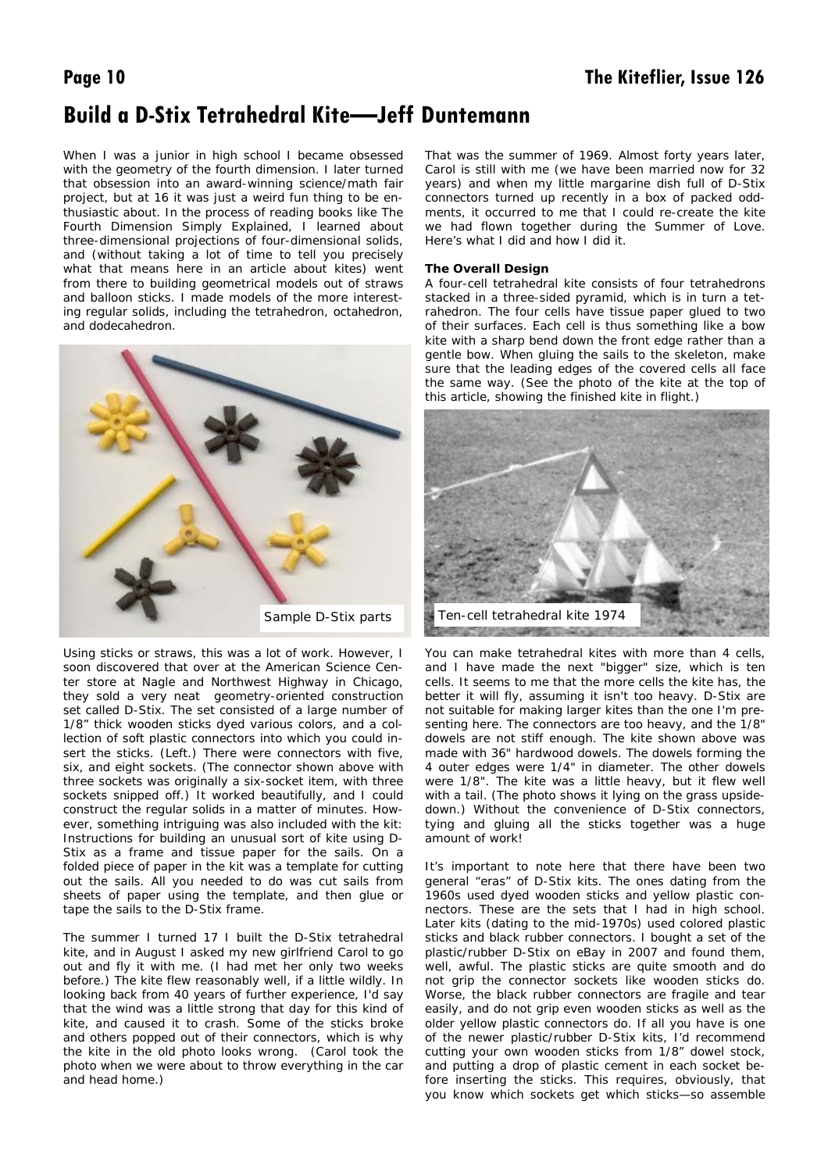# **Build a D-Stix Tetrahedral Kite—Jeff Duntemann**

When I was a junior in high school I became obsessed with the geometry of the fourth dimension. I later turned that obsession into an award-winning science/math fair project, but at 16 it was just a weird fun thing to be enthusiastic about. In the process of reading books like The Fourth Dimension Simply Explained, I learned about three-dimensional projections of four-dimensional solids, and (without taking a lot of time to tell you precisely what that means here in an article about kites) went from there to building geometrical models out of straws and balloon sticks. I made models of the more interesting regular solids, including the tetrahedron, octahedron, and dodecahedron.



Using sticks or straws, this was a lot of work. However, I soon discovered that over at the American Science Center store at Nagle and Northwest Highway in Chicago, they sold a very neat geometry-oriented construction set called D-Stix. The set consisted of a large number of 1/8" thick wooden sticks dyed various colors, and a collection of soft plastic connectors into which you could insert the sticks. (Left.) There were connectors with five, six, and eight sockets. (The connector shown above with three sockets was originally a six-socket item, with three sockets snipped off.) It worked beautifully, and I could construct the regular solids in a matter of minutes. However, something intriguing was also included with the kit: Instructions for building an unusual sort of kite using D-Stix as a frame and tissue paper for the sails. On a folded piece of paper in the kit was a template for cutting out the sails. All you needed to do was cut sails from sheets of paper using the template, and then glue or tape the sails to the D-Stix frame.

The summer I turned 17 I built the D-Stix tetrahedral kite, and in August I asked my new girlfriend Carol to go out and fly it with me. (I had met her only two weeks before.) The kite flew reasonably well, if a little wildly. In looking back from 40 years of further experience, I'd say that the wind was a little strong that day for this kind of kite, and caused it to crash. Some of the sticks broke and others popped out of their connectors, which is why the kite in the old photo looks wrong. (Carol took the photo when we were about to throw everything in the car and head home.)

That was the summer of 1969. Almost forty years later, Carol is still with me (we have been married now for 32 years) and when my little margarine dish full of D-Stix connectors turned up recently in a box of packed oddments, it occurred to me that I could re-create the kite we had flown together during the Summer of Love. Here's what I did and how I did it.

## **The Overall Design**

A four-cell tetrahedral kite consists of four tetrahedrons stacked in a three-sided pyramid, which is in turn a tetrahedron. The four cells have tissue paper glued to two of their surfaces. Each cell is thus something like a bow kite with a sharp bend down the front edge rather than a gentle bow. When gluing the sails to the skeleton, make sure that the leading edges of the covered cells all face the same way. (See the photo of the kite at the top of this article, showing the finished kite in flight.)



You can make tetrahedral kites with more than 4 cells, and I have made the next "bigger" size, which is ten cells. It seems to me that the more cells the kite has, the better it will fly, assuming it isn't too heavy. D-Stix are not suitable for making larger kites than the one I'm presenting here. The connectors are too heavy, and the 1/8" dowels are not stiff enough. The kite shown above was made with 36" hardwood dowels. The dowels forming the 4 outer edges were 1/4" in diameter. The other dowels were 1/8". The kite was a little heavy, but it flew well with a tail. (The photo shows it lying on the grass upsidedown.) Without the convenience of D-Stix connectors, tying and gluing all the sticks together was a huge amount of work!

It's important to note here that there have been two general "eras" of D-Stix kits. The ones dating from the 1960s used dyed wooden sticks and yellow plastic connectors. These are the sets that I had in high school. Later kits (dating to the mid-1970s) used colored plastic sticks and black rubber connectors. I bought a set of the plastic/rubber D-Stix on eBay in 2007 and found them, well, awful. The plastic sticks are quite smooth and do not grip the connector sockets like wooden sticks do. Worse, the black rubber connectors are fragile and tear easily, and do not grip even wooden sticks as well as the older yellow plastic connectors do. If all you have is one of the newer plastic/rubber D-Stix kits, I'd recommend cutting your own wooden sticks from 1/8" dowel stock, and putting a drop of plastic cement in each socket before inserting the sticks. This requires, obviously, that you know which sockets get which sticks—so assemble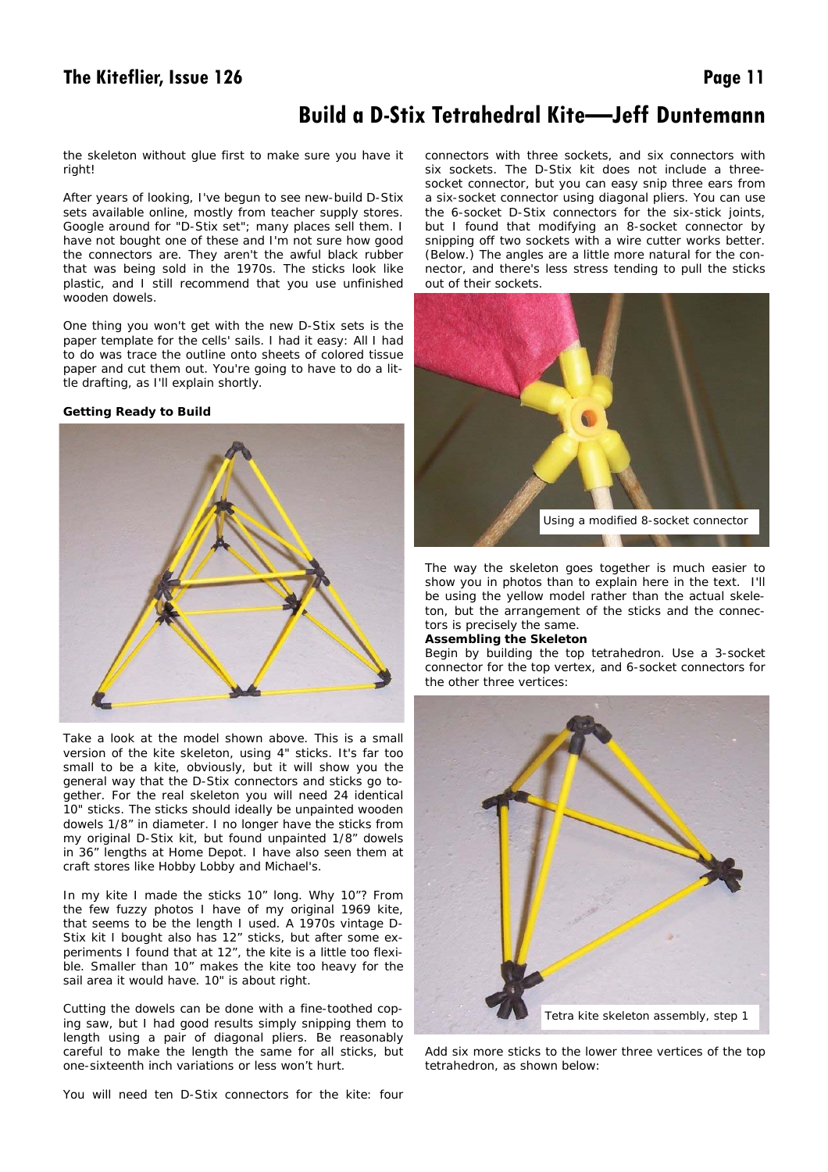# **The Kiteflier, Issue 126** Page 11

# **Build a D-Stix Tetrahedral Kite—Jeff Duntemann**

the skeleton without glue first to make sure you have it right!

After years of looking, I've begun to see new-build D-Stix sets available online, mostly from teacher supply stores. Google around for "D-Stix set"; many places sell them. I have not bought one of these and I'm not sure how good the connectors are. They aren't the awful black rubber that was being sold in the 1970s. The sticks look like plastic, and I still recommend that you use unfinished wooden dowels.

One thing you won't get with the new D-Stix sets is the paper template for the cells' sails. I had it easy: All I had to do was trace the outline onto sheets of colored tissue paper and cut them out. You're going to have to do a little drafting, as I'll explain shortly.

## **Getting Ready to Build**



Take a look at the model shown above. This is a small version of the kite skeleton, using 4" sticks. It's far too small to be a kite, obviously, but it will show you the general way that the D-Stix connectors and sticks go together. For the real skeleton you will need 24 identical 10" sticks. The sticks should ideally be unpainted wooden dowels 1/8" in diameter. I no longer have the sticks from my original D-Stix kit, but found unpainted 1/8" dowels in 36" lengths at Home Depot. I have also seen them at craft stores like Hobby Lobby and Michael's.

In my kite I made the sticks 10" long. Why 10"? From the few fuzzy photos I have of my original 1969 kite, that seems to be the length I used. A 1970s vintage D-Stix kit I bought also has 12" sticks, but after some experiments I found that at 12", the kite is a little too flexible. Smaller than 10" makes the kite too heavy for the sail area it would have. 10" is about right.

Cutting the dowels can be done with a fine-toothed coping saw, but I had good results simply snipping them to length using a pair of diagonal pliers. Be reasonably careful to make the length the same for all sticks, but one-sixteenth inch variations or less won't hurt.

You will need ten D-Stix connectors for the kite: four

connectors with three sockets, and six connectors with six sockets. The D-Stix kit does not include a threesocket connector, but you can easy snip three ears from a six-socket connector using diagonal pliers. You can use the 6-socket D-Stix connectors for the six-stick joints, but I found that modifying an 8-socket connector by snipping off two sockets with a wire cutter works better. (Below.) The angles are a little more natural for the connector, and there's less stress tending to pull the sticks out of their sockets.



The way the skeleton goes together is much easier to show you in photos than to explain here in the text. I'll be using the yellow model rather than the actual skeleton, but the arrangement of the sticks and the connectors is precisely the same.

## **Assembling the Skeleton**

Begin by building the top tetrahedron. Use a 3-socket connector for the top vertex, and 6-socket connectors for the other three vertices:



Add six more sticks to the lower three vertices of the top tetrahedron, as shown below: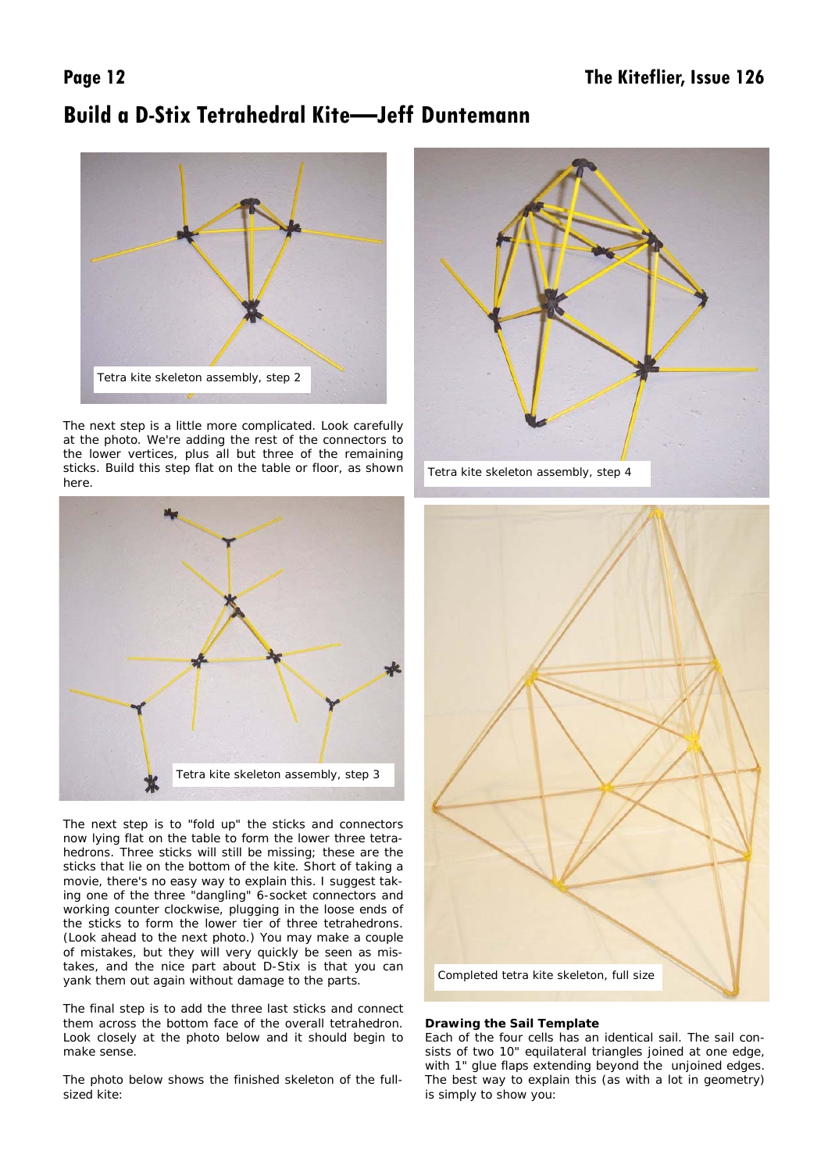# **Build a D-Stix Tetrahedral Kite—Jeff Duntemann**



The next step is a little more complicated. Look carefully at the photo. We're adding the rest of the connectors to the lower vertices, plus all but three of the remaining sticks. Build this step flat on the table or floor, as shown here.



The next step is to "fold up" the sticks and connectors now lying flat on the table to form the lower three tetrahedrons. Three sticks will still be missing; these are the sticks that lie on the bottom of the kite. Short of taking a movie, there's no easy way to explain this. I suggest taking one of the three "dangling" 6-socket connectors and working counter clockwise, plugging in the loose ends of the sticks to form the lower tier of three tetrahedrons. (Look ahead to the next photo.) You may make a couple of mistakes, but they will very quickly be seen as mistakes, and the nice part about D-Stix is that you can yank them out again without damage to the parts.

The final step is to add the three last sticks and connect them across the bottom face of the overall tetrahedron. Look closely at the photo below and it should begin to make sense.

The photo below shows the finished skeleton of the fullsized kite:





## **Drawing the Sail Template**

Each of the four cells has an identical sail. The sail consists of two 10" equilateral triangles joined at one edge, with 1" glue flaps extending beyond the unjoined edges. The best way to explain this (as with a lot in geometry) is simply to show you: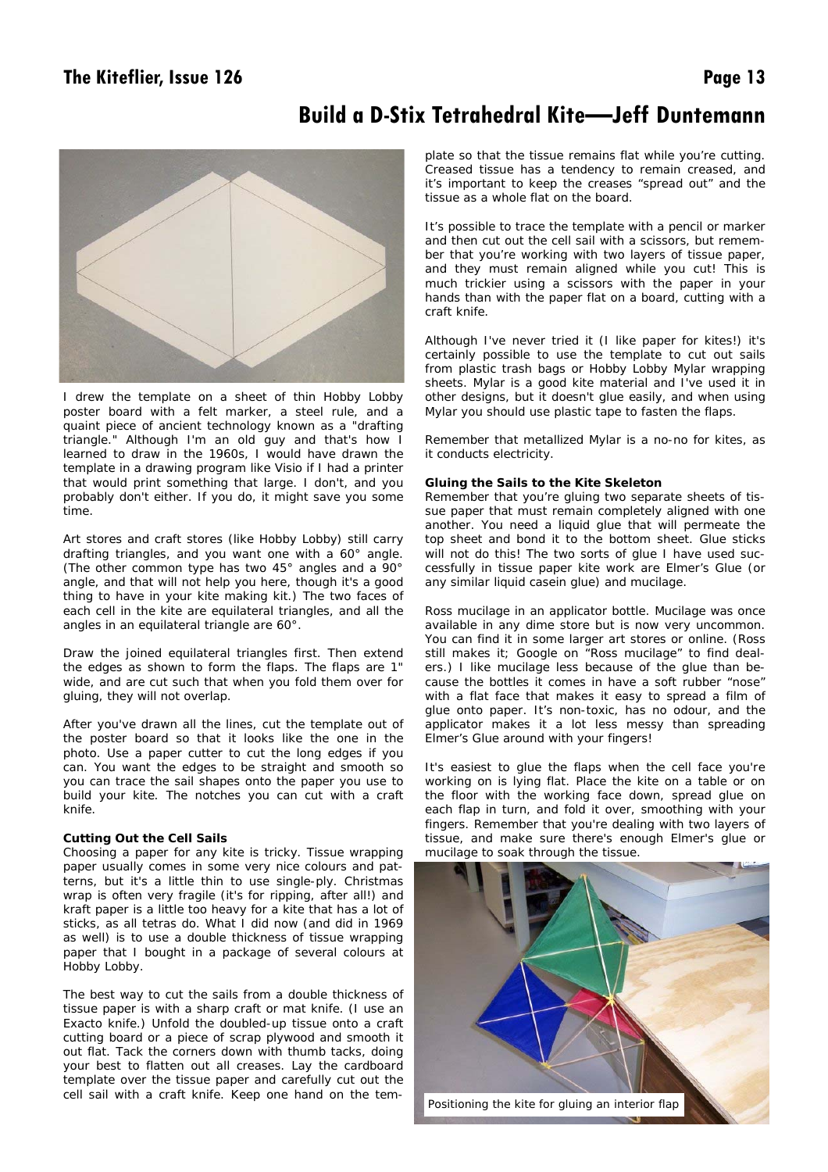# The Kiteflier, Issue 126 **Page 13**

# **Build a D-Stix Tetrahedral Kite—Jeff Duntemann**



I drew the template on a sheet of thin Hobby Lobby poster board with a felt marker, a steel rule, and a quaint piece of ancient technology known as a "drafting triangle." Although I'm an old guy and that's how I learned to draw in the 1960s, I would have drawn the template in a drawing program like Visio if I had a printer that would print something that large. I don't, and you probably don't either. If you do, it might save you some time.

Art stores and craft stores (like Hobby Lobby) still carry drafting triangles, and you want one with a 60° angle. (The other common type has two 45° angles and a 90° angle, and that will not help you here, though it's a good thing to have in your kite making kit.) The two faces of each cell in the kite are equilateral triangles, and all the angles in an equilateral triangle are 60°.

Draw the joined equilateral triangles first. Then extend the edges as shown to form the flaps. The flaps are 1" wide, and are cut such that when you fold them over for gluing, they will not overlap.

After you've drawn all the lines, cut the template out of the poster board so that it looks like the one in the photo. Use a paper cutter to cut the long edges if you can. You want the edges to be straight and smooth so you can trace the sail shapes onto the paper you use to build your kite. The notches you can cut with a craft knife.

### **Cutting Out the Cell Sails**

Choosing a paper for any kite is tricky. Tissue wrapping paper usually comes in some very nice colours and patterns, but it's a little thin to use single-ply. Christmas wrap is often very fragile (it's for ripping, after all!) and kraft paper is a little too heavy for a kite that has a lot of sticks, as all tetras do. What I did now (and did in 1969 as well) is to use a double thickness of tissue wrapping paper that I bought in a package of several colours at Hobby Lobby.

The best way to cut the sails from a double thickness of tissue paper is with a sharp craft or mat knife. (I use an Exacto knife.) Unfold the doubled-up tissue onto a craft cutting board or a piece of scrap plywood and smooth it out flat. Tack the corners down with thumb tacks, doing your best to flatten out all creases. Lay the cardboard template over the tissue paper and carefully cut out the cell sail with a craft knife. Keep one hand on the template so that the tissue remains flat while you're cutting. Creased tissue has a tendency to remain creased, and it's important to keep the creases "spread out" and the tissue as a whole flat on the board.

It's possible to trace the template with a pencil or marker and then cut out the cell sail with a scissors, but remember that you're working with two layers of tissue paper, and they must remain aligned while you cut! This is much trickier using a scissors with the paper in your hands than with the paper flat on a board, cutting with a craft knife.

Although I've never tried it (I like paper for kites!) it's certainly possible to use the template to cut out sails from plastic trash bags or Hobby Lobby Mylar wrapping sheets. Mylar is a good kite material and I've used it in other designs, but it doesn't glue easily, and when using Mylar you should use plastic tape to fasten the flaps.

Remember that metallized Mylar is a no-no for kites, as it conducts electricity.

### **Gluing the Sails to the Kite Skeleton**

Remember that you're gluing two separate sheets of tissue paper that must remain completely aligned with one another. You need a liquid glue that will permeate the top sheet and bond it to the bottom sheet. Glue sticks will not do this! The two sorts of glue I have used successfully in tissue paper kite work are Elmer's Glue (or any similar liquid casein glue) and mucilage.

Ross mucilage in an applicator bottle. Mucilage was once available in any dime store but is now very uncommon. You can find it in some larger art stores or online. (Ross still makes it; Google on "Ross mucilage" to find dealers.) I like mucilage less because of the glue than because the bottles it comes in have a soft rubber "nose" with a flat face that makes it easy to spread a film of glue onto paper. It's non-toxic, has no odour, and the applicator makes it a lot less messy than spreading Elmer's Glue around with your fingers!

It's easiest to glue the flaps when the cell face you're working on is lying flat. Place the kite on a table or on the floor with the working face down, spread glue on each flap in turn, and fold it over, smoothing with your fingers. Remember that you're dealing with two layers of tissue, and make sure there's enough Elmer's glue or mucilage to soak through the tissue.